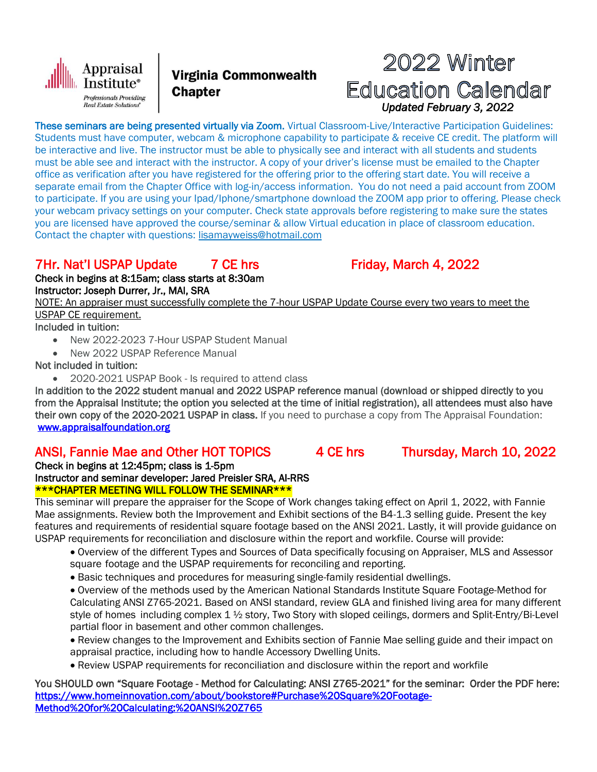

Virginia Commonwealth **Chapter** 

# 2022 Winter **Education Calendar**  *Updated February 3, 2022*

These seminars are being presented virtually via Zoom. Virtual Classroom-Live/Interactive Participation Guidelines: Students must have computer, webcam & microphone capability to participate & receive CE credit. The platform will be interactive and live. The instructor must be able to physically see and interact with all students and students must be able see and interact with the instructor. A copy of your driver's license must be emailed to the Chapter office as verification after you have registered for the offering prior to the offering start date. You will receive a separate email from the Chapter Office with log-in/access information. You do not need a paid account from ZOOM to participate. If you are using your Ipad/Iphone/smartphone download the ZOOM app prior to offering. Please check your webcam privacy settings on your computer. Check state approvals before registering to make sure the states you are licensed have approved the course/seminar & allow Virtual education in place of classroom education. Contact the chapter with questions: [lisamayweiss@hotmail.com](mailto:lisamayweiss@hotmail.com)

## 7Hr. Nat'l USPAP Update 7 CE hrs Friday, March 4, 2022

Check in begins at 8:15am; class starts at 8:30am Instructor: Joseph Durrer, Jr., MAI, SRA

NOTE: An appraiser must successfully complete the 7-hour USPAP Update Course every two years to meet the USPAP CE requirement.

Included in tuition:

- New 2022-2023 7-Hour USPAP Student Manual
- New 2022 USPAP Reference Manual

Not included in tuition:

2020-2021 USPAP Book - Is required to attend class

In addition to the 2022 student manual and 2022 USPAP reference manual (download or shipped directly to you from the Appraisal Institute; the option you selected at the time of initial registration), all attendees must also have their own copy of the 2020-2021 USPAP in class. If you need to purchase a copy from The Appraisal Foundation: [www.appraisalfoundation.org](http://www.appraisalfoundation.org/)

### ANSI, Fannie Mae and Other HOT TOPICS 4 CE hrs Thursday, March 10, 2022

Check in begins at 12:45pm; class is 1-5pm Instructor and seminar developer: Jared Preisler SRA, AI-RRS

\*\*\*CHAPTER MEETING WILL FOLLOW THE SEMINAR\*\*\*

This seminar will prepare the appraiser for the Scope of Work changes taking effect on April 1, 2022, with Fannie Mae assignments. Review both the Improvement and Exhibit sections of the B4-1.3 selling guide. Present the key features and requirements of residential square footage based on the ANSI 2021. Lastly, it will provide guidance on USPAP requirements for reconciliation and disclosure within the report and workfile. Course will provide:

- Overview of the different Types and Sources of Data specifically focusing on Appraiser, MLS and Assessor square footage and the USPAP requirements for reconciling and reporting.
- Basic techniques and procedures for measuring single-family residential dwellings.

 Overview of the methods used by the American National Standards Institute Square Footage-Method for Calculating ANSI Z765-2021. Based on ANSI standard, review GLA and finished living area for many different style of homes including complex 1 ½ story, Two Story with sloped ceilings, dormers and Split-Entry/Bi-Level partial floor in basement and other common challenges.

 Review changes to the Improvement and Exhibits section of Fannie Mae selling guide and their impact on appraisal practice, including how to handle Accessory Dwelling Units.

Review USPAP requirements for reconciliation and disclosure within the report and workfile

You SHOULD own "Square Footage - Method for Calculating: ANSI Z765-2021" for the seminar: Order the PDF here: [https://www.homeinnovation.com/about/bookstore#Purchase%20Square%20Footage-](https://www.homeinnovation.com/about/bookstore#Purchase%20Square%20Footage-Method%20for%20Calculating:%20ANSI%20Z765)[Method%20for%20Calculating:%20ANSI%20Z765](https://www.homeinnovation.com/about/bookstore#Purchase%20Square%20Footage-Method%20for%20Calculating:%20ANSI%20Z765)